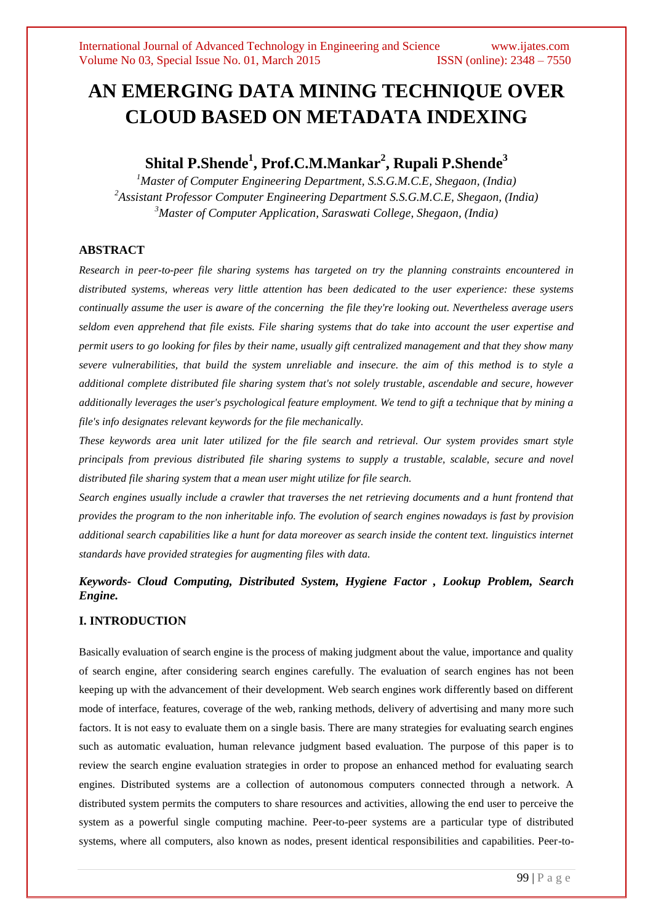# **AN EMERGING DATA MINING TECHNIQUE OVER CLOUD BASED ON METADATA INDEXING**

# **Shital P.Shende<sup>1</sup> , Prof.C.M.Mankar<sup>2</sup> , Rupali P.Shende<sup>3</sup>**

*<sup>1</sup>Master of Computer Engineering Department, S.S.G.M.C.E, Shegaon, (India) <sup>2</sup>Assistant Professor Computer Engineering Department S.S.G.M.C.E, Shegaon, (India) <sup>3</sup>Master of Computer Application, Saraswati College, Shegaon, (India)*

# **ABSTRACT**

*Research in peer-to-peer file sharing systems has targeted on try the planning constraints encountered in distributed systems, whereas very little attention has been dedicated to the user experience: these systems continually assume the user is aware of the concerning the file they're looking out. Nevertheless average users seldom even apprehend that file exists. File sharing systems that do take into account the user expertise and permit users to go looking for files by their name, usually gift centralized management and that they show many severe vulnerabilities, that build the system unreliable and insecure. the aim of this method is to style a additional complete distributed file sharing system that's not solely trustable, ascendable and secure, however additionally leverages the user's psychological feature employment. We tend to gift a technique that by mining a file's info designates relevant keywords for the file mechanically.* 

*These keywords area unit later utilized for the file search and retrieval. Our system provides smart style principals from previous distributed file sharing systems to supply a trustable, scalable, secure and novel distributed file sharing system that a mean user might utilize for file search.* 

*Search engines usually include a crawler that traverses the net retrieving documents and a hunt frontend that provides the program to the non inheritable info. The evolution of search engines nowadays is fast by provision additional search capabilities like a hunt for data moreover as search inside the content text. linguistics internet standards have provided strategies for augmenting files with data.*

# *Keywords- Cloud Computing, Distributed System, Hygiene Factor , Lookup Problem, Search Engine.*

# **I. INTRODUCTION**

Basically evaluation of search engine is the process of making judgment about the value, importance and quality of search engine, after considering search engines carefully. The evaluation of search engines has not been keeping up with the advancement of their development. Web search engines work differently based on different mode of interface, features, coverage of the web, ranking methods, delivery of advertising and many more such factors. It is not easy to evaluate them on a single basis. There are many strategies for evaluating search engines such as automatic evaluation, human relevance judgment based evaluation. The purpose of this paper is to review the search engine evaluation strategies in order to propose an enhanced method for evaluating search engines. Distributed systems are a collection of autonomous computers connected through a network. A distributed system permits the computers to share resources and activities, allowing the end user to perceive the system as a powerful single computing machine. Peer-to-peer systems are a particular type of distributed systems, where all computers, also known as nodes, present identical responsibilities and capabilities. Peer-to-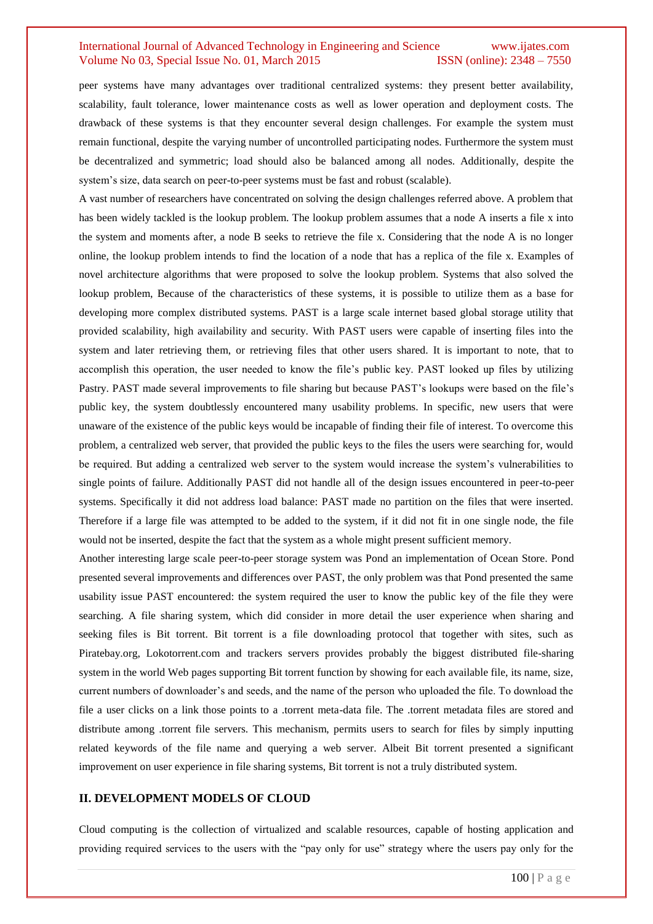peer systems have many advantages over traditional centralized systems: they present better availability, scalability, fault tolerance, lower maintenance costs as well as lower operation and deployment costs. The drawback of these systems is that they encounter several design challenges. For example the system must remain functional, despite the varying number of uncontrolled participating nodes. Furthermore the system must be decentralized and symmetric; load should also be balanced among all nodes. Additionally, despite the system's size, data search on peer-to-peer systems must be fast and robust (scalable).

A vast number of researchers have concentrated on solving the design challenges referred above. A problem that has been widely tackled is the lookup problem. The lookup problem assumes that a node A inserts a file x into the system and moments after, a node B seeks to retrieve the file x. Considering that the node A is no longer online, the lookup problem intends to find the location of a node that has a replica of the file x. Examples of novel architecture algorithms that were proposed to solve the lookup problem. Systems that also solved the lookup problem, Because of the characteristics of these systems, it is possible to utilize them as a base for developing more complex distributed systems. PAST is a large scale internet based global storage utility that provided scalability, high availability and security. With PAST users were capable of inserting files into the system and later retrieving them, or retrieving files that other users shared. It is important to note, that to accomplish this operation, the user needed to know the file's public key. PAST looked up files by utilizing Pastry. PAST made several improvements to file sharing but because PAST's lookups were based on the file's public key, the system doubtlessly encountered many usability problems. In specific, new users that were unaware of the existence of the public keys would be incapable of finding their file of interest. To overcome this problem, a centralized web server, that provided the public keys to the files the users were searching for, would be required. But adding a centralized web server to the system would increase the system's vulnerabilities to single points of failure. Additionally PAST did not handle all of the design issues encountered in peer-to-peer systems. Specifically it did not address load balance: PAST made no partition on the files that were inserted. Therefore if a large file was attempted to be added to the system, if it did not fit in one single node, the file would not be inserted, despite the fact that the system as a whole might present sufficient memory.

Another interesting large scale peer-to-peer storage system was Pond an implementation of Ocean Store. Pond presented several improvements and differences over PAST, the only problem was that Pond presented the same usability issue PAST encountered: the system required the user to know the public key of the file they were searching. A file sharing system, which did consider in more detail the user experience when sharing and seeking files is Bit torrent. Bit torrent is a file downloading protocol that together with sites, such as Piratebay.org, Lokotorrent.com and trackers servers provides probably the biggest distributed file-sharing system in the world Web pages supporting Bit torrent function by showing for each available file, its name, size, current numbers of downloader's and seeds, and the name of the person who uploaded the file. To download the file a user clicks on a link those points to a .torrent meta-data file. The .torrent metadata files are stored and distribute among .torrent file servers. This mechanism, permits users to search for files by simply inputting related keywords of the file name and querying a web server. Albeit Bit torrent presented a significant improvement on user experience in file sharing systems, Bit torrent is not a truly distributed system.

# **II. DEVELOPMENT MODELS OF CLOUD**

Cloud computing is the collection of virtualized and scalable resources, capable of hosting application and providing required services to the users with the "pay only for use" strategy where the users pay only for the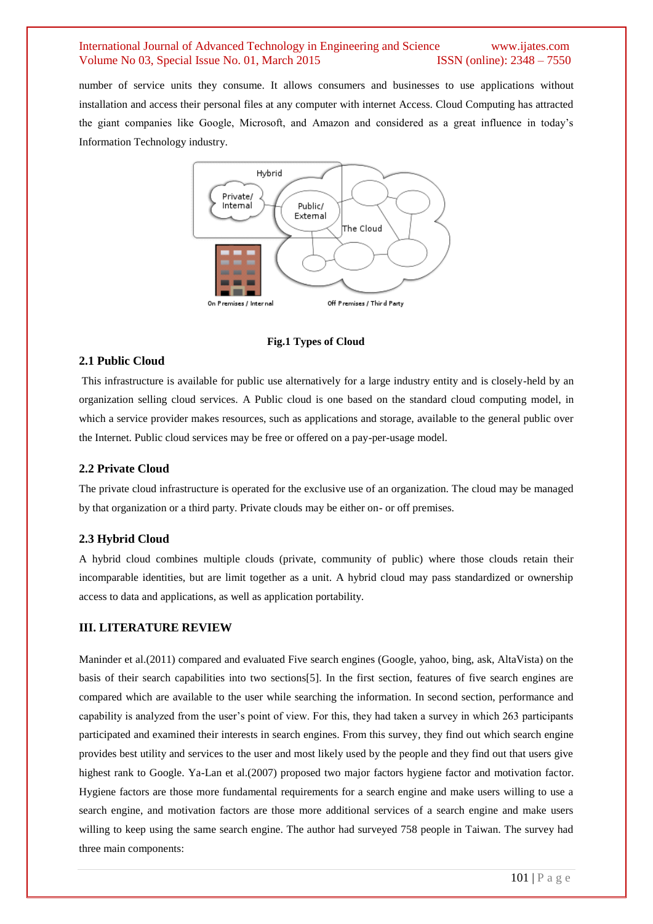number of service units they consume. It allows consumers and businesses to use applications without installation and access their personal files at any computer with internet Access. Cloud Computing has attracted the giant companies like Google, Microsoft, and Amazon and considered as a great influence in today's Information Technology industry.



#### **Fig.1 Types of Cloud**

#### **2.1 Public Cloud**

This infrastructure is available for public use alternatively for a large industry entity and is closely-held by an organization selling cloud services. A Public cloud is one based on the standard cloud computing model, in which a service provider makes resources, such as applications and storage, available to the general public over the Internet. Public cloud services may be free or offered on a pay-per-usage model.

#### **2.2 Private Cloud**

The private cloud infrastructure is operated for the exclusive use of an organization. The cloud may be managed by that organization or a third party. Private clouds may be either on- or off premises.

#### **2.3 Hybrid Cloud**

A hybrid cloud combines multiple clouds (private, community of public) where those clouds retain their incomparable identities, but are limit together as a unit. A hybrid cloud may pass standardized or ownership access to data and applications, as well as application portability.

#### **III. LITERATURE REVIEW**

Maninder et al.(2011) compared and evaluated Five search engines (Google, yahoo, bing, ask, AltaVista) on the basis of their search capabilities into two sections[5]. In the first section, features of five search engines are compared which are available to the user while searching the information. In second section, performance and capability is analyzed from the user's point of view. For this, they had taken a survey in which 263 participants participated and examined their interests in search engines. From this survey, they find out which search engine provides best utility and services to the user and most likely used by the people and they find out that users give highest rank to Google. Ya-Lan et al.(2007) proposed two major factors hygiene factor and motivation factor. Hygiene factors are those more fundamental requirements for a search engine and make users willing to use a search engine, and motivation factors are those more additional services of a search engine and make users willing to keep using the same search engine. The author had surveyed 758 people in Taiwan. The survey had three main components: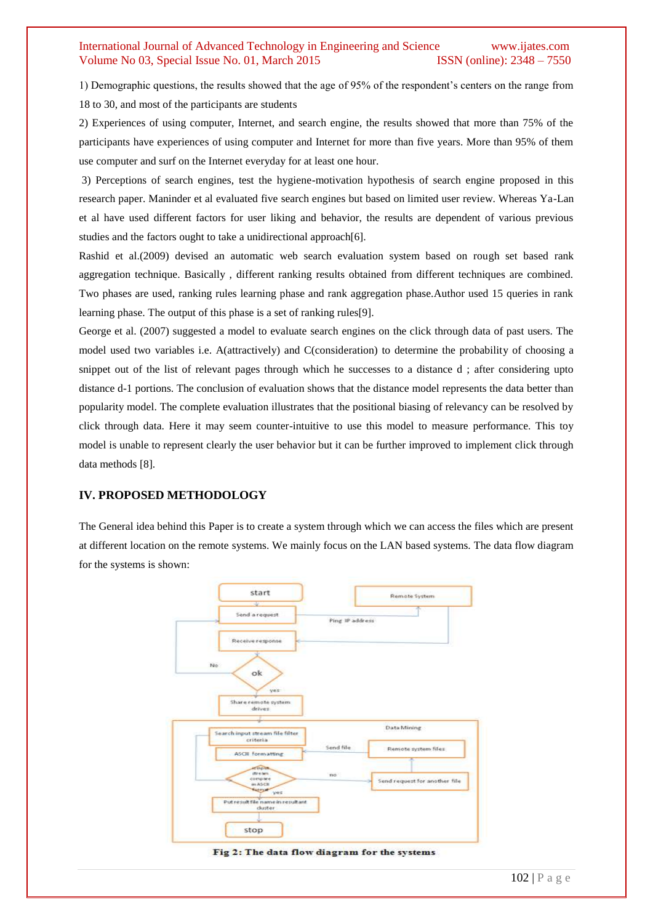1) Demographic questions, the results showed that the age of 95% of the respondent's centers on the range from 18 to 30, and most of the participants are students

2) Experiences of using computer, Internet, and search engine, the results showed that more than 75% of the participants have experiences of using computer and Internet for more than five years. More than 95% of them use computer and surf on the Internet everyday for at least one hour.

3) Perceptions of search engines, test the hygiene-motivation hypothesis of search engine proposed in this research paper. Maninder et al evaluated five search engines but based on limited user review. Whereas Ya-Lan et al have used different factors for user liking and behavior, the results are dependent of various previous studies and the factors ought to take a unidirectional approach[6].

Rashid et al.(2009) devised an automatic web search evaluation system based on rough set based rank aggregation technique. Basically , different ranking results obtained from different techniques are combined. Two phases are used, ranking rules learning phase and rank aggregation phase.Author used 15 queries in rank learning phase. The output of this phase is a set of ranking rules[9].

George et al. (2007) suggested a model to evaluate search engines on the click through data of past users. The model used two variables i.e. A(attractively) and C(consideration) to determine the probability of choosing a snippet out of the list of relevant pages through which he successes to a distance d ; after considering upto distance d-1 portions. The conclusion of evaluation shows that the distance model represents the data better than popularity model. The complete evaluation illustrates that the positional biasing of relevancy can be resolved by click through data. Here it may seem counter-intuitive to use this model to measure performance. This toy model is unable to represent clearly the user behavior but it can be further improved to implement click through data methods [8].

#### **IV. PROPOSED METHODOLOGY**

The General idea behind this Paper is to create a system through which we can access the files which are present at different location on the remote systems. We mainly focus on the LAN based systems. The data flow diagram for the systems is shown:

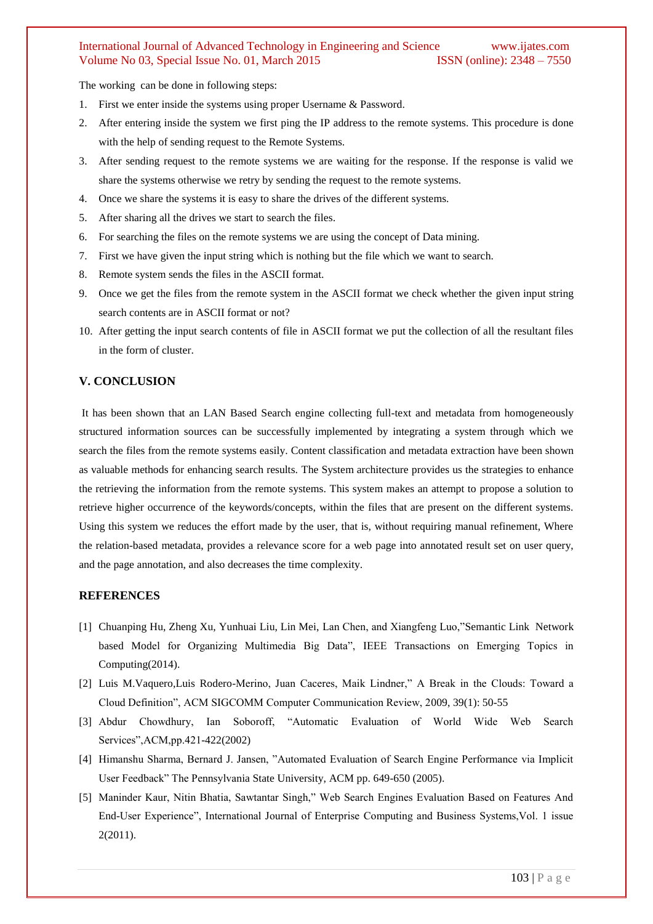The working can be done in following steps:

- 1. First we enter inside the systems using proper Username & Password.
- 2. After entering inside the system we first ping the IP address to the remote systems. This procedure is done with the help of sending request to the Remote Systems.
- 3. After sending request to the remote systems we are waiting for the response. If the response is valid we share the systems otherwise we retry by sending the request to the remote systems.
- 4. Once we share the systems it is easy to share the drives of the different systems.
- 5. After sharing all the drives we start to search the files.
- 6. For searching the files on the remote systems we are using the concept of Data mining.
- 7. First we have given the input string which is nothing but the file which we want to search.
- 8. Remote system sends the files in the ASCII format.
- 9. Once we get the files from the remote system in the ASCII format we check whether the given input string search contents are in ASCII format or not?
- 10. After getting the input search contents of file in ASCII format we put the collection of all the resultant files in the form of cluster.

# **V. CONCLUSION**

It has been shown that an LAN Based Search engine collecting full-text and metadata from homogeneously structured information sources can be successfully implemented by integrating a system through which we search the files from the remote systems easily. Content classification and metadata extraction have been shown as valuable methods for enhancing search results. The System architecture provides us the strategies to enhance the retrieving the information from the remote systems. This system makes an attempt to propose a solution to retrieve higher occurrence of the keywords/concepts, within the files that are present on the different systems. Using this system we reduces the effort made by the user, that is, without requiring manual refinement, Where the relation-based metadata, provides a relevance score for a web page into annotated result set on user query, and the page annotation, and also decreases the time complexity.

#### **REFERENCES**

- [1] Chuanping Hu, Zheng Xu, Yunhuai Liu, Lin Mei, Lan Chen, and Xiangfeng Luo,"Semantic Link Network based Model for Organizing Multimedia Big Data", IEEE Transactions on Emerging Topics in Computing(2014).
- [2] Luis M.Vaquero,Luis Rodero-Merino, Juan Caceres, Maik Lindner," A Break in the Clouds: Toward a Cloud Definition", ACM SIGCOMM Computer Communication Review, 2009, 39(1): 50-55
- [3] Abdur Chowdhury, Ian Soboroff, "Automatic Evaluation of World Wide Web Search Services",ACM,pp.421-422(2002)
- [4] Himanshu Sharma, Bernard J. Jansen, "Automated Evaluation of Search Engine Performance via Implicit User Feedback" The Pennsylvania State University, ACM pp. 649-650 (2005).
- [5] Maninder Kaur, Nitin Bhatia, Sawtantar Singh," Web Search Engines Evaluation Based on Features And End-User Experience", International Journal of Enterprise Computing and Business Systems,Vol. 1 issue 2(2011).